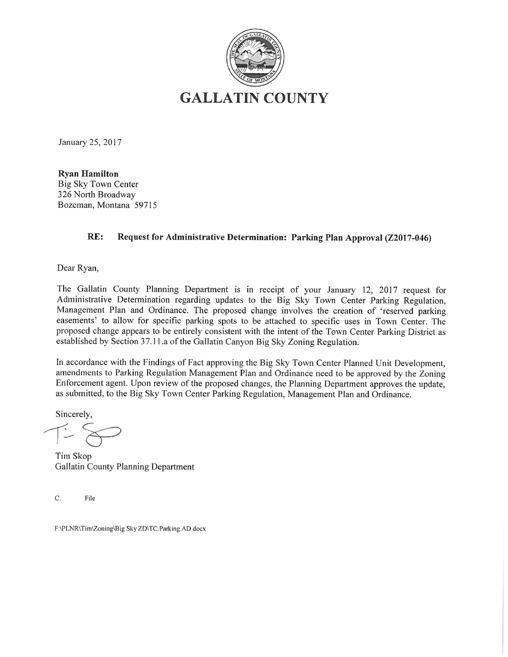

January 25, 2017

**Ryan Hamilton Big Sky Town Center** 326 North Broadway Bozeman, Montana 59715

#### RE: Request for Administrative Determination: Parking Plan Approval (Z2017-046)

Dear Ryan,

The Gallatin County Planning Department is in receipt of your January 12, 2017 request for Administrative Determination regarding updates to the Big Sky Town Center Parking Regulation, Management Plan and Ordinance. The proposed change involves the creation of 'reserved parking easements' to allow for specific parking spots to be attached to specific uses in Town Center. The proposed change appears to be entirely consistent with the intent of the Town Center Parking District as established by Section 37.11.a of the Gallatin Canyon Big Sky Zoning Regulation.

In accordance with the Findings of Fact approving the Big Sky Town Center Planned Unit Development, amendments to Parking Regulation Management Plan and Ordinance need to be approved by the Zoning Enforcement agent. Upon review of the proposed changes, the Planning Department approves the update, as submitted, to the Big Sky Town Center Parking Regulation, Management Plan and Ordinance.

Sincerely,

Tim Skop Gallatin County Planning Department

 $C:$ File

F:\PLNR\Tim\Zoning\Big Sky ZD\TC.Parking.AD.docx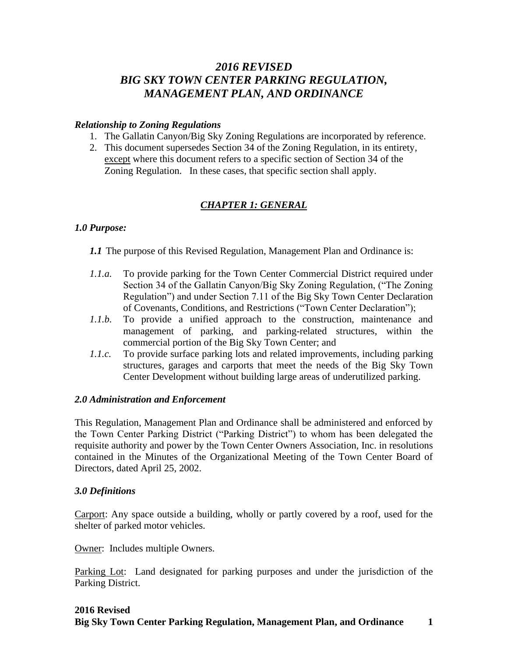# *2016 REVISED BIG SKY TOWN CENTER PARKING REGULATION, MANAGEMENT PLAN, AND ORDINANCE*

#### *Relationship to Zoning Regulations*

- 1. The Gallatin Canyon/Big Sky Zoning Regulations are incorporated by reference.
- 2. This document supersedes Section 34 of the Zoning Regulation, in its entirety, except where this document refers to a specific section of Section 34 of the Zoning Regulation. In these cases, that specific section shall apply.

# *CHAPTER 1: GENERAL*

## *1.0 Purpose:*

*1.1* The purpose of this Revised Regulation, Management Plan and Ordinance is:

- *1.1.a.* To provide parking for the Town Center Commercial District required under Section 34 of the Gallatin Canyon/Big Sky Zoning Regulation, ("The Zoning Regulation") and under Section 7.11 of the Big Sky Town Center Declaration of Covenants, Conditions, and Restrictions ("Town Center Declaration");
- *1.1.b.* To provide a unified approach to the construction, maintenance and management of parking, and parking-related structures, within the commercial portion of the Big Sky Town Center; and
- *1.1.c.* To provide surface parking lots and related improvements, including parking structures, garages and carports that meet the needs of the Big Sky Town Center Development without building large areas of underutilized parking.

## *2.0 Administration and Enforcement*

This Regulation, Management Plan and Ordinance shall be administered and enforced by the Town Center Parking District ("Parking District") to whom has been delegated the requisite authority and power by the Town Center Owners Association, Inc. in resolutions contained in the Minutes of the Organizational Meeting of the Town Center Board of Directors, dated April 25, 2002.

## *3.0 Definitions*

Carport: Any space outside a building, wholly or partly covered by a roof, used for the shelter of parked motor vehicles.

Owner: Includes multiple Owners.

Parking Lot: Land designated for parking purposes and under the jurisdiction of the Parking District.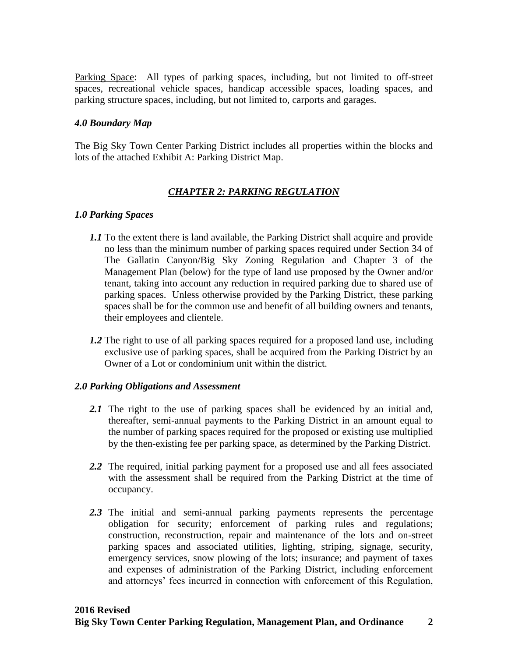Parking Space: All types of parking spaces, including, but not limited to off-street spaces, recreational vehicle spaces, handicap accessible spaces, loading spaces, and parking structure spaces, including, but not limited to, carports and garages.

#### *4.0 Boundary Map*

The Big Sky Town Center Parking District includes all properties within the blocks and lots of the attached Exhibit A: Parking District Map.

## *CHAPTER 2: PARKING REGULATION*

#### *1.0 Parking Spaces*

- *1.1* To the extent there is land available, the Parking District shall acquire and provide no less than the minimum number of parking spaces required under Section 34 of The Gallatin Canyon/Big Sky Zoning Regulation and Chapter 3 of the Management Plan (below) for the type of land use proposed by the Owner and/or tenant, taking into account any reduction in required parking due to shared use of parking spaces. Unless otherwise provided by the Parking District, these parking spaces shall be for the common use and benefit of all building owners and tenants, their employees and clientele.
- *1.2* The right to use of all parking spaces required for a proposed land use, including exclusive use of parking spaces, shall be acquired from the Parking District by an Owner of a Lot or condominium unit within the district.

#### *2.0 Parking Obligations and Assessment*

- 2.1 The right to the use of parking spaces shall be evidenced by an initial and, thereafter, semi-annual payments to the Parking District in an amount equal to the number of parking spaces required for the proposed or existing use multiplied by the then-existing fee per parking space, as determined by the Parking District.
- 2.2 The required, initial parking payment for a proposed use and all fees associated with the assessment shall be required from the Parking District at the time of occupancy.
- *2.3* The initial and semi-annual parking payments represents the percentage obligation for security; enforcement of parking rules and regulations; construction, reconstruction, repair and maintenance of the lots and on-street parking spaces and associated utilities, lighting, striping, signage, security, emergency services, snow plowing of the lots; insurance; and payment of taxes and expenses of administration of the Parking District, including enforcement and attorneys' fees incurred in connection with enforcement of this Regulation,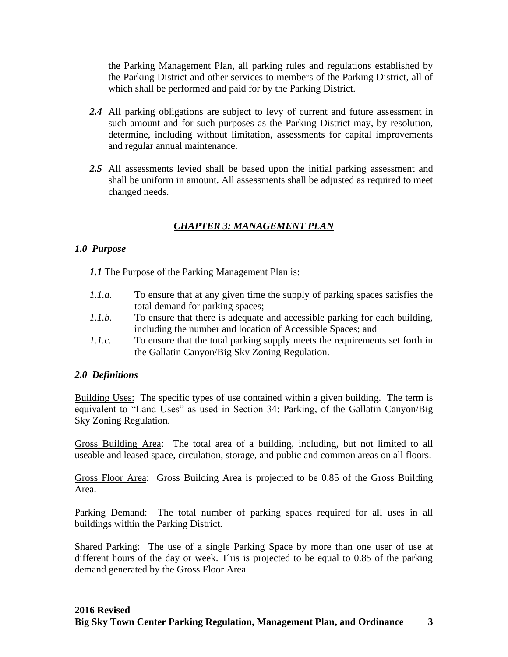the Parking Management Plan, all parking rules and regulations established by the Parking District and other services to members of the Parking District, all of which shall be performed and paid for by the Parking District.

- *2.4* All parking obligations are subject to levy of current and future assessment in such amount and for such purposes as the Parking District may, by resolution, determine, including without limitation, assessments for capital improvements and regular annual maintenance.
- *2.5* All assessments levied shall be based upon the initial parking assessment and shall be uniform in amount. All assessments shall be adjusted as required to meet changed needs.

# *CHAPTER 3: MANAGEMENT PLAN*

## *1.0 Purpose*

*1.1* The Purpose of the Parking Management Plan is:

- *1.1.a.* To ensure that at any given time the supply of parking spaces satisfies the total demand for parking spaces;
- *1.1.b.* To ensure that there is adequate and accessible parking for each building, including the number and location of Accessible Spaces; and
- *1.1.c.* To ensure that the total parking supply meets the requirements set forth in the Gallatin Canyon/Big Sky Zoning Regulation.

## *2.0 Definitions*

Building Uses: The specific types of use contained within a given building. The term is equivalent to "Land Uses" as used in Section 34: Parking, of the Gallatin Canyon/Big Sky Zoning Regulation.

Gross Building Area: The total area of a building, including, but not limited to all useable and leased space, circulation, storage, and public and common areas on all floors.

Gross Floor Area: Gross Building Area is projected to be 0.85 of the Gross Building Area.

Parking Demand: The total number of parking spaces required for all uses in all buildings within the Parking District.

Shared Parking: The use of a single Parking Space by more than one user of use at different hours of the day or week. This is projected to be equal to 0.85 of the parking demand generated by the Gross Floor Area.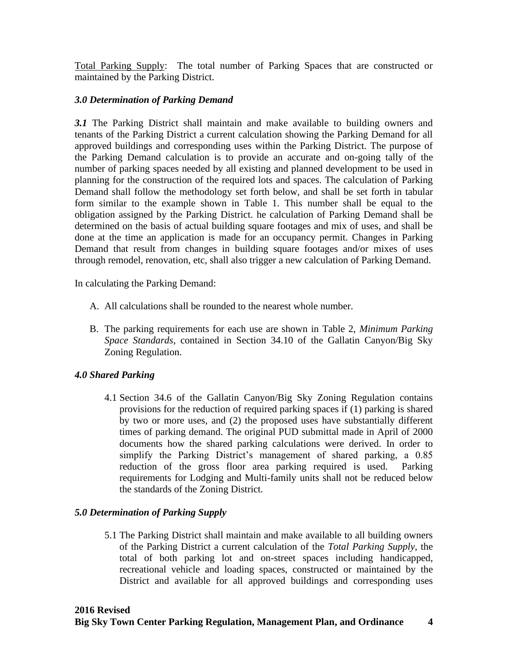Total Parking Supply: The total number of Parking Spaces that are constructed or maintained by the Parking District.

## *3.0 Determination of Parking Demand*

*3.1* The Parking District shall maintain and make available to building owners and tenants of the Parking District a current calculation showing the Parking Demand for all approved buildings and corresponding uses within the Parking District. The purpose of the Parking Demand calculation is to provide an accurate and on-going tally of the number of parking spaces needed by all existing and planned development to be used in planning for the construction of the required lots and spaces. The calculation of Parking Demand shall follow the methodology set forth below, and shall be set forth in tabular form similar to the example shown in Table 1. This number shall be equal to the obligation assigned by the Parking District. he calculation of Parking Demand shall be determined on the basis of actual building square footages and mix of uses, and shall be done at the time an application is made for an occupancy permit. Changes in Parking Demand that result from changes in building square footages and/or mixes of uses through remodel, renovation, etc, shall also trigger a new calculation of Parking Demand.

In calculating the Parking Demand:

- A. All calculations shall be rounded to the nearest whole number.
- B. The parking requirements for each use are shown in Table 2, *Minimum Parking Space Standards*, contained in Section 34.10 of the Gallatin Canyon/Big Sky Zoning Regulation.

## *4.0 Shared Parking*

4.1 Section 34.6 of the Gallatin Canyon/Big Sky Zoning Regulation contains provisions for the reduction of required parking spaces if (1) parking is shared by two or more uses, and (2) the proposed uses have substantially different times of parking demand. The original PUD submittal made in April of 2000 documents how the shared parking calculations were derived. In order to simplify the Parking District's management of shared parking, a 0.85 reduction of the gross floor area parking required is used. Parking requirements for Lodging and Multi-family units shall not be reduced below the standards of the Zoning District.

## *5.0 Determination of Parking Supply*

5.1 The Parking District shall maintain and make available to all building owners of the Parking District a current calculation of the *Total Parking Supply*, the total of both parking lot and on-street spaces including handicapped, recreational vehicle and loading spaces, constructed or maintained by the District and available for all approved buildings and corresponding uses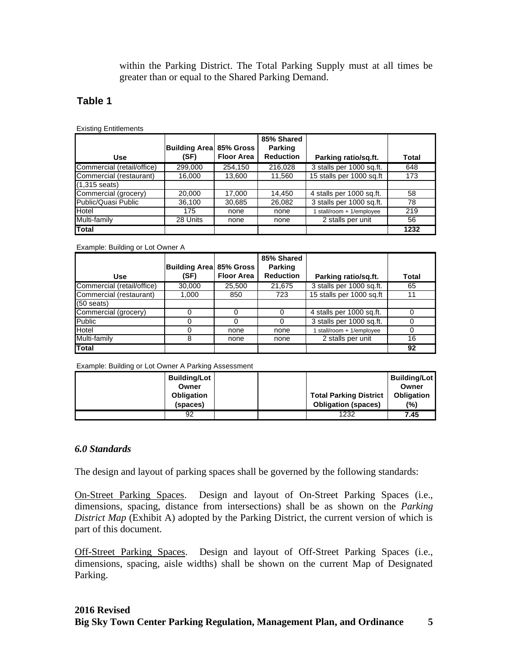within the Parking District. The Total Parking Supply must at all times be greater than or equal to the Shared Parking Demand.

## **Table 1**

Existing Entitlements

|                            |                                 |                   | 85% Shared                         |                           |       |
|----------------------------|---------------------------------|-------------------|------------------------------------|---------------------------|-------|
| <b>Use</b>                 | Building Area 85% Gross<br>(SF) | <b>Floor Area</b> | <b>Parking</b><br><b>Reduction</b> | Parking ratio/sq.ft.      | Total |
|                            |                                 |                   |                                    |                           |       |
| Commercial (retail/office) | 299,000                         | 254,150           | 216,028                            | 3 stalls per 1000 sq.ft.  | 648   |
| Commercial (restaurant)    | 16,000                          | 13,600            | 11,560                             | 15 stalls per 1000 sq.ft  | 173   |
| $(1,315 \text{ seats})$    |                                 |                   |                                    |                           |       |
| Commercial (grocery)       | 20,000                          | 17,000            | 14,450                             | 4 stalls per 1000 sq.ft.  | 58    |
| Public/Quasi Public        | 36,100                          | 30,685            | 26,082                             | 3 stalls per 1000 sq.ft.  | 78    |
| Hotel                      | 175                             | none              | none                               | 1 stall/room + 1/employee | 219   |
| Multi-family               | 28 Units                        | none              | none                               | 2 stalls per unit         | 56    |
| Total                      |                                 |                   |                                    |                           | 1232  |

Example: Building or Lot Owner A

|                            |                         |                   | 85% Shared       |                          |       |
|----------------------------|-------------------------|-------------------|------------------|--------------------------|-------|
|                            | Building Area 85% Gross |                   | <b>Parking</b>   |                          |       |
| Use                        | (SF)                    | <b>Floor Area</b> | <b>Reduction</b> | Parking ratio/sg.ft.     | Total |
| Commercial (retail/office) | 30,000                  | 25,500            | 21,675           | 3 stalls per 1000 sq.ft. | 65    |
| Commercial (restaurant)    | 1,000                   | 850               | 723              | 15 stalls per 1000 sq.ft | 11    |
| $(50$ seats)               |                         |                   |                  |                          |       |
| Commercial (grocery)       |                         |                   |                  | 4 stalls per 1000 sq.ft. |       |
| <b>Public</b>              |                         |                   |                  | 3 stalls per 1000 sq.ft. |       |
| Hotel                      |                         | none              | none             | stall/room + 1/employee  |       |
| Multi-family               | 8                       | none              | none             | 2 stalls per unit        | 16    |
| <b>Total</b>               |                         |                   |                  |                          | 92    |

Example: Building or Lot Owner A Parking Assessment

| Building/Lot  <br>Owner<br><b>Obligation</b><br>(spaces) |  | <b>Total Parking District</b><br><b>Obligation (spaces)</b> | Building/Lot<br>Owner<br><b>Obligation</b><br>(%) |
|----------------------------------------------------------|--|-------------------------------------------------------------|---------------------------------------------------|
| 92                                                       |  | 1232                                                        | 7.45                                              |

## *6.0 Standards*

The design and layout of parking spaces shall be governed by the following standards:

On-Street Parking Spaces. Design and layout of On-Street Parking Spaces (i.e., dimensions, spacing, distance from intersections) shall be as shown on the *Parking District Map* (Exhibit A) adopted by the Parking District, the current version of which is part of this document.

Off-Street Parking Spaces. Design and layout of Off-Street Parking Spaces (i.e., dimensions, spacing, aisle widths) shall be shown on the current Map of Designated Parking.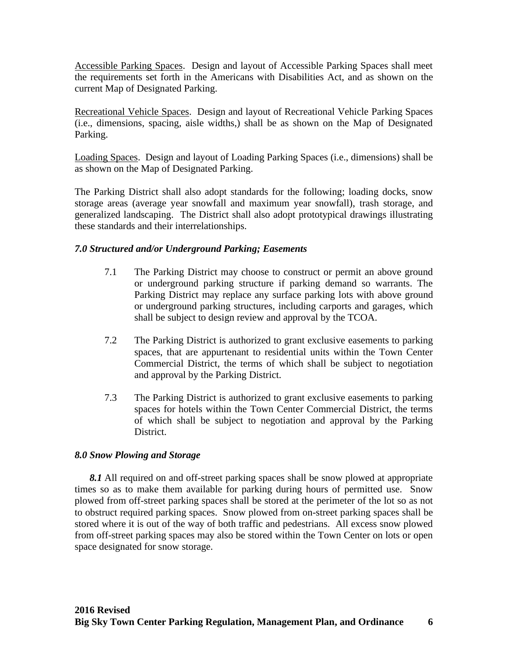Accessible Parking Spaces. Design and layout of Accessible Parking Spaces shall meet the requirements set forth in the Americans with Disabilities Act, and as shown on the current Map of Designated Parking.

Recreational Vehicle Spaces. Design and layout of Recreational Vehicle Parking Spaces (i.e., dimensions, spacing, aisle widths,) shall be as shown on the Map of Designated Parking.

Loading Spaces. Design and layout of Loading Parking Spaces (i.e., dimensions) shall be as shown on the Map of Designated Parking.

The Parking District shall also adopt standards for the following; loading docks, snow storage areas (average year snowfall and maximum year snowfall), trash storage, and generalized landscaping. The District shall also adopt prototypical drawings illustrating these standards and their interrelationships.

## *7.0 Structured and/or Underground Parking; Easements*

- 7.1 The Parking District may choose to construct or permit an above ground or underground parking structure if parking demand so warrants. The Parking District may replace any surface parking lots with above ground or underground parking structures, including carports and garages, which shall be subject to design review and approval by the TCOA.
- 7.2 The Parking District is authorized to grant exclusive easements to parking spaces, that are appurtenant to residential units within the Town Center Commercial District, the terms of which shall be subject to negotiation and approval by the Parking District.
- 7.3 The Parking District is authorized to grant exclusive easements to parking spaces for hotels within the Town Center Commercial District, the terms of which shall be subject to negotiation and approval by the Parking District.

#### *8.0 Snow Plowing and Storage*

*8.1* All required on and off-street parking spaces shall be snow plowed at appropriate times so as to make them available for parking during hours of permitted use. Snow plowed from off-street parking spaces shall be stored at the perimeter of the lot so as not to obstruct required parking spaces. Snow plowed from on-street parking spaces shall be stored where it is out of the way of both traffic and pedestrians. All excess snow plowed from off-street parking spaces may also be stored within the Town Center on lots or open space designated for snow storage.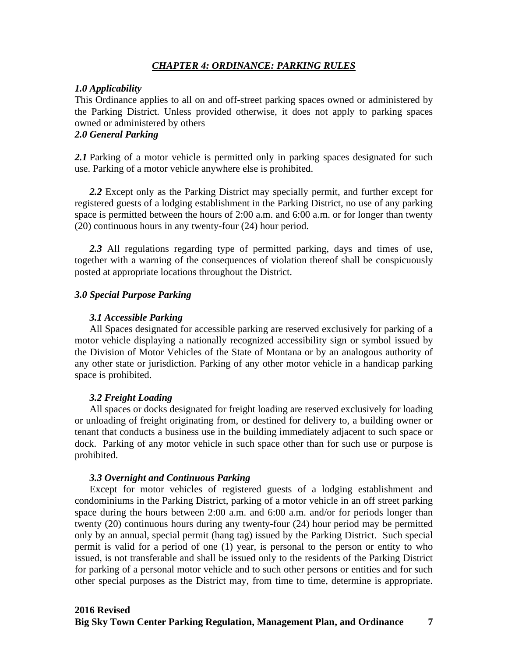#### *CHAPTER 4: ORDINANCE: PARKING RULES*

#### *1.0 Applicability*

This Ordinance applies to all on and off-street parking spaces owned or administered by the Parking District. Unless provided otherwise, it does not apply to parking spaces owned or administered by others

# *2.0 General Parking*

2.1 Parking of a motor vehicle is permitted only in parking spaces designated for such use. Parking of a motor vehicle anywhere else is prohibited.

*2.2* Except only as the Parking District may specially permit, and further except for registered guests of a lodging establishment in the Parking District, no use of any parking space is permitted between the hours of 2:00 a.m. and 6:00 a.m. or for longer than twenty (20) continuous hours in any twenty-four (24) hour period.

*2.3* All regulations regarding type of permitted parking, days and times of use, together with a warning of the consequences of violation thereof shall be conspicuously posted at appropriate locations throughout the District.

#### *3.0 Special Purpose Parking*

#### *3.1 Accessible Parking*

All Spaces designated for accessible parking are reserved exclusively for parking of a motor vehicle displaying a nationally recognized accessibility sign or symbol issued by the Division of Motor Vehicles of the State of Montana or by an analogous authority of any other state or jurisdiction. Parking of any other motor vehicle in a handicap parking space is prohibited.

#### *3.2 Freight Loading*

All spaces or docks designated for freight loading are reserved exclusively for loading or unloading of freight originating from, or destined for delivery to, a building owner or tenant that conducts a business use in the building immediately adjacent to such space or dock. Parking of any motor vehicle in such space other than for such use or purpose is prohibited.

#### *3.3 Overnight and Continuous Parking*

Except for motor vehicles of registered guests of a lodging establishment and condominiums in the Parking District, parking of a motor vehicle in an off street parking space during the hours between 2:00 a.m. and 6:00 a.m. and/or for periods longer than twenty (20) continuous hours during any twenty-four (24) hour period may be permitted only by an annual, special permit (hang tag) issued by the Parking District. Such special permit is valid for a period of one (1) year, is personal to the person or entity to who issued, is not transferable and shall be issued only to the residents of the Parking District for parking of a personal motor vehicle and to such other persons or entities and for such other special purposes as the District may, from time to time, determine is appropriate.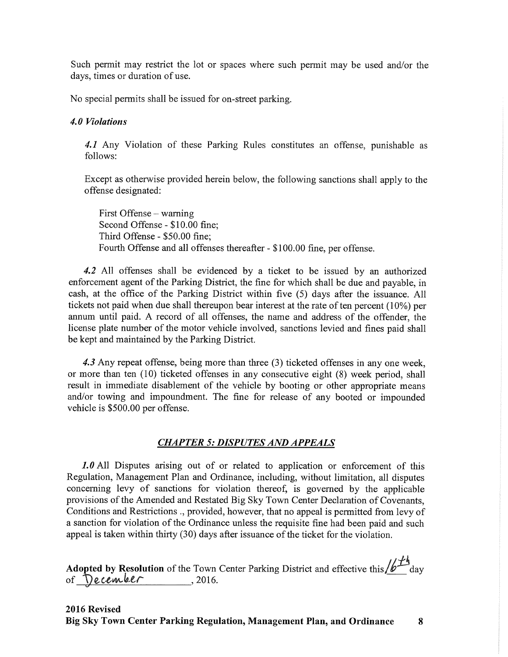Such permit may restrict the lot or spaces where such permit may be used and/or the days, times or duration of use.

No special permits shall be issued for on-street parking.

#### 4.0 Violations

4.1 Any Violation of these Parking Rules constitutes an offense, punishable as follows:

Except as otherwise provided herein below, the following sanctions shall apply to the offense designated:

First Offense – warning Second Offense - \$10.00 fine; Third Offense - \$50.00 fine: Fourth Offense and all offenses thereafter - \$100.00 fine, per offense.

4.2 All offenses shall be evidenced by a ticket to be issued by an authorized enforcement agent of the Parking District, the fine for which shall be due and payable, in cash, at the office of the Parking District within five (5) days after the issuance. All tickets not paid when due shall thereupon bear interest at the rate of ten percent (10%) per annum until paid. A record of all offenses, the name and address of the offender, the license plate number of the motor vehicle involved, sanctions levied and fines paid shall be kept and maintained by the Parking District.

4.3 Any repeat offense, being more than three (3) ticketed offenses in any one week, or more than ten (10) ticketed offenses in any consecutive eight (8) week period, shall result in immediate disablement of the vehicle by booting or other appropriate means and/or towing and impoundment. The fine for release of any booted or impounded vehicle is \$500.00 per offense.

## **CHAPTER 5: DISPUTES AND APPEALS**

1.0 All Disputes arising out of or related to application or enforcement of this Regulation, Management Plan and Ordinance, including, without limitation, all disputes concerning levy of sanctions for violation thereof, is governed by the applicable provisions of the Amended and Restated Big Sky Town Center Declaration of Covenants, Conditions and Restrictions ., provided, however, that no appeal is permitted from levy of a sanction for violation of the Ordinance unless the requisite fine had been paid and such appeal is taken within thirty (30) days after issuance of the ticket for the violation.

**Adopted by Resolution** of the Town Center Parking District and effective this  $\sqrt{b^{\frac{1}{2}}t}$  day of **December** 2016.